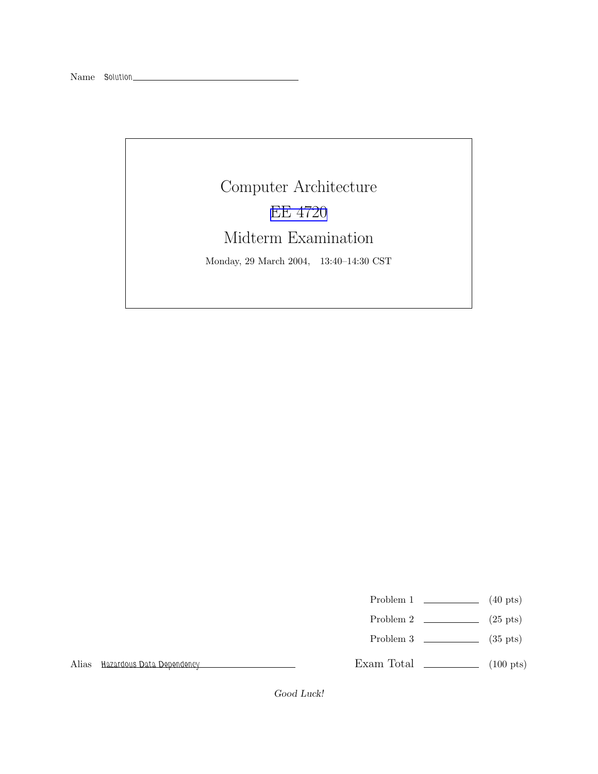## Computer Architecture EE [4720](http://www.ece.lsu.edu/ee4720/) Midterm Examination

Monday, 29 March 2004, 13:40–14:30 CST

- Problem 1  $\qquad \qquad$  (40 pts)
- Problem 2  $\qquad \qquad$  (25 pts)
- Problem 3  $\sim$  (35 pts)

Alias Hazardous Data Dependency

Exam Total \_\_\_\_\_\_\_\_\_\_\_\_\_ (100 pts)

Good Luck!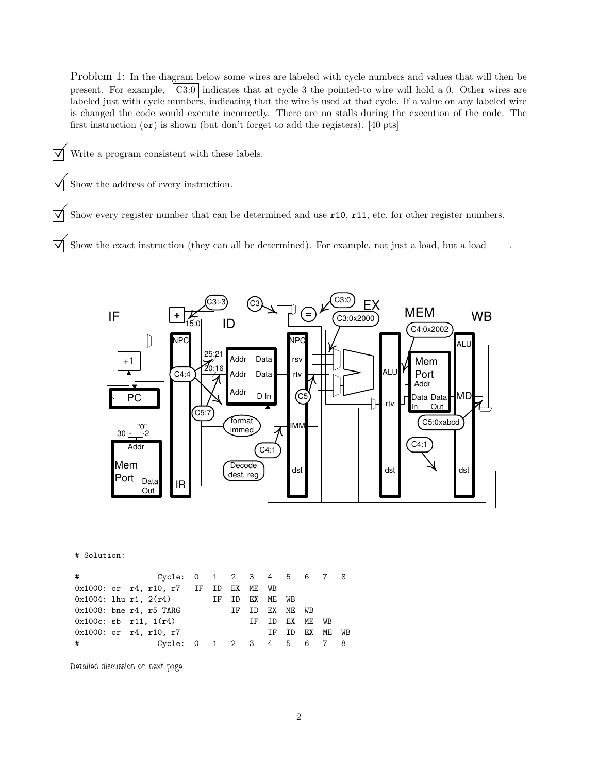Problem 1: In the diagram below some wires are labeled with cycle numbers and values that will then be present. For example, C3:0 indicates that at cycle 3 the pointed-to wire will hold a 0. Other wires are labeled just with cycle numbers, indicating that the wire is used at that cycle. If a value on any labeled wire is changed the code would execute incorrectly. There are no stalls during the execution of the code. The first instruction (or) is shown (but don't forget to add the registers). [40 pts]

- $\triangledown$  Write a program consistent with these labels.
- $\triangledown$  Show the address of every instruction.

 $\overrightarrow{\mathcal{M}}$  Show every register number that can be determined and use r10, r11, etc. for other register numbers.

 $\overrightarrow{\mathsf{M}}$  Show the exact instruction (they can all be determined). For example, not just a load, but a load  $\overrightarrow{\mathsf{M}}$ 



## # Solution:

| #                                     |  | Cycle: 0 1 2 3 4 5 6 7 8 |  |                |                |                |  |
|---------------------------------------|--|--------------------------|--|----------------|----------------|----------------|--|
| 0x1000: or r4, r10, r7 IF ID EX ME WB |  |                          |  |                |                |                |  |
| $0x1004$ : 1hu r1, $2(r4)$            |  |                          |  | IF ID EX ME WB |                |                |  |
| $0x1008$ : bne r4, r5 TARG            |  |                          |  |                | IF ID EX ME WB |                |  |
| $0x100c$ : sb $r11$ , $1(r4)$         |  |                          |  |                | IF ID EX ME WB |                |  |
| $0x1000:$ or $r4, r10, r7$            |  |                          |  |                |                | IF ID EX ME WB |  |
| #                                     |  | Cycle: 0 1 2 3 4 5 6 7 8 |  |                |                |                |  |

Detailed discussion on next page.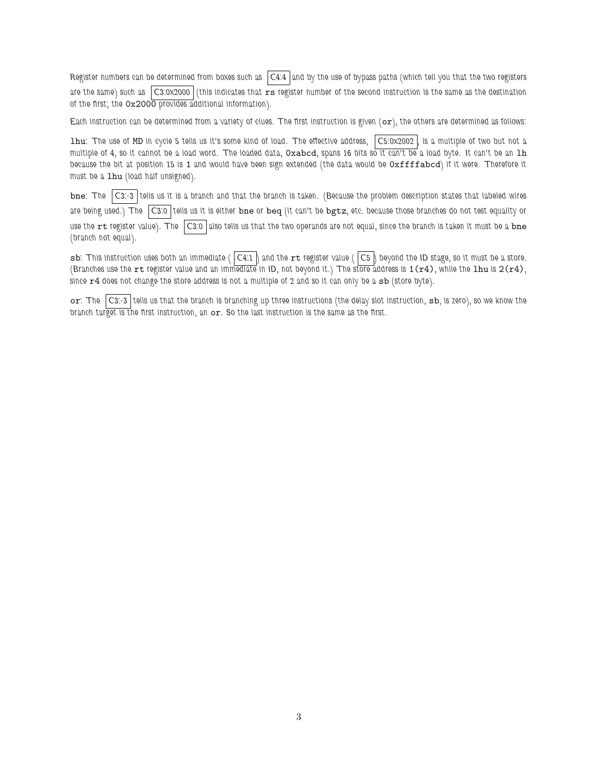Register numbers can be determined from boxes such as  $|C4:4|$  and by the use of bypass paths (which tell you that the two registers are the same) such as  $|$ C3:0x2000 (this indicates that  $r s$  register number of the second instruction is the same as the destination of the first; the 0x2000 provides additional information).

Each instruction can be determined from a variety of clues. The first instruction is given  $(or)$ , the others are determined as follows:

lhu: The use of MD in cycle 5 tells us it's some kind of load. The effective address, C5:0x2002 , is a multiple of two but not a multiple of 4, so it cannot be a load word. The loaded data, Oxabcd, spans 16 bits so it can't be a load byte. It can't be an 1h because the bit at position 15 is 1 and would have been sign extended (the data would be 0xffffabcd) if it were. Therefore it must be a 1hu (load half unsigned).

bne: The C3:-3 tells us it is a branch and that the branch is taken. (Because the problem description states that labeled wires are being used.) The C3:0 tells us it is either bne or beq (it can't be bgtz, etc. because those branches do not test equality or use the  $rt$  register value). The  $|Cs$ :0 also tells us that the two operands are not equal, since the branch is taken it must be a bne (branch not equal).

sb: This instruction uses both an immediate (  $|C4:1|$  and the  $rt$  register value (  $|C5|$  beyond the ID stage, so it must be a store. (Branches use the rt register value and an immediate in ID, not beyond it.) The store address is  $1(r4)$ , while the lhu is  $2(r4)$ , since  $r4$  does not change the store address is not a multiple of 2 and so it can only be a  $sb$  (store byte).

or: The C3:-3 tells us that the branch is branching up three instructions (the delay slot instruction, sb, is zero), so we know the branch target is the first instruction, an or. So the last instruction is the same as the first.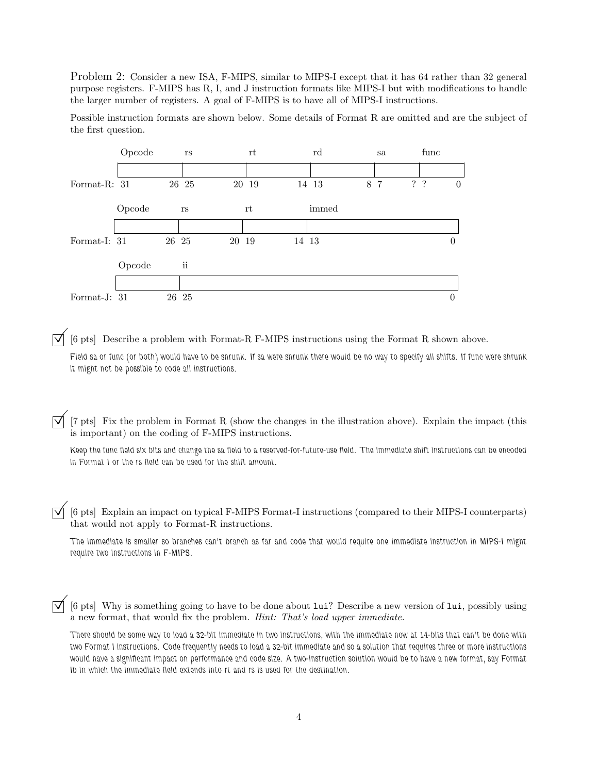Problem 2: Consider a new ISA, F-MIPS, similar to MIPS-I except that it has 64 rather than 32 general purpose registers. F-MIPS has R, I, and J instruction formats like MIPS-I but with modifications to handle the larger number of registers. A goal of F-MIPS is to have all of MIPS-I instructions.

Possible instruction formats are shown below. Some details of Format R are omitted and are the subject of the first question.



©[6 pts] Describe <sup>a</sup> problem with Format-R F-MIPS instructions using the Format <sup>R</sup> shown above.

Field sa or func (or both) would have to be shrunk. If sa were shrunk there would be no way to specify all shifts. If func were shrunk it might not be possible to code all instructions.

[7 pts] Fix the problem in Format R (show the changes in the illustration above). Explain the impact (this is important) on the coding of F-MIPS instructions.

Keep the func field six bits and change the sa field to a reserved-for-future-use field. The immediate shift instructions can be encoded in Format I or the rs field can be used for the shift amount.

©[6 pts] Explain an impact on typical F-MIPS Format-I instructions (compared to their MIPS-I counterparts) that would not apply to Format-R instructions.

The immediate is smaller so branches can't branch as far and code that would require one immediate instruction in MIPS-I might require two instructions in F-MIPS.

©[6 pts] Why is something going to have to be done about lui? Describe <sup>a</sup> new version of lui, possibly using a new format, that would fix the problem. Hint: That's load upper immediate.

There should be some way to load a 32-bit immediate in two instructions, with the immediate now at 14-bits that can't be done with two Format I instructions. Code frequently needs to load a 32-bit immediate and so a solution that requires three or more instructions would have a significant impact on performance and code size. A two-instruction solution would be to have a new format, say Format Ib in which the immediate field extends into rt and rs is used for the destination.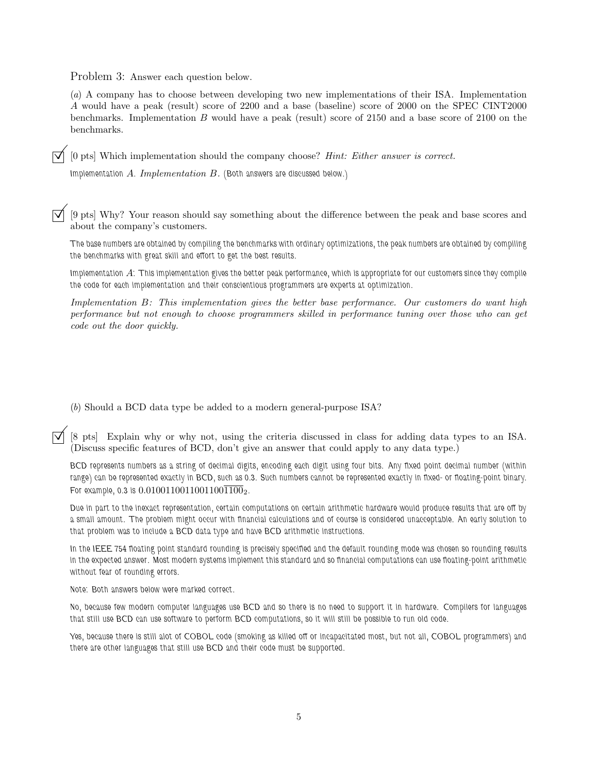Problem 3: Answer each question below.

(a) A company has to choose between developing two new implementations of their ISA. Implementation A would have a peak (result) score of 2200 and a base (baseline) score of 2000 on the SPEC CINT2000 benchmarks. Implementation B would have a peak (result) score of 2150 and a base score of 2100 on the benchmarks.

©[0 pts] Which implementation should the company choose? Hint: Either answer is correct.

Implementation  $A.$  Implementation  $B.$  (Both answers are discussed below.)

©[9 pts] Why? Your reason should say something about the difference between the peak and base scores and about the company's customers.

The base numbers are obtained by compiling the benchmarks with ordinary optimizations, the peak numbers are obtained by compiling the benchmarks with great skill and effort to get the best results.

Implementation A: This implementation gives the better peak performance, which is appropriate for our customers since they compile the code for each implementation and their conscientious programmers are experts at optimization.

Implementation B: This implementation gives the better base performance. Our customers do want high performance but not enough to choose programmers skilled in performance tuning over those who can get code out the door quickly.

(b) Should a BCD data type be added to a modern general-purpose ISA?

©[8 pts] Explain why or why not, using the criteria discussed in class for adding data types to an ISA. (Discuss specific features of BCD, don't give an answer that could apply to any data type.)

BCD represents numbers as a string of decimal digits, encoding each digit using four bits. Any fixed point decimal number (within range) can be represented exactly in BCD, such as 0.3. Such numbers cannot be represented exactly in fixed- or floating-point binary. For example, 0.3 is  $0.01001100110011001100_2$ .

Due in part to the inexact representation, certain computations on certain arithmetic hardware would produce results that are off by a small amount. The problem might occur with financial calculations and of course is considered unacceptable. An early solution to that problem was to include a BCD data type and have BCD arithmetic instructions.

In the IEEE 754 floating point standard rounding is precisely specified and the default rounding mode was chosen so rounding results in the expected answer. Most modern systems implement this standard and so financial computations can use floating-point arithmetic without fear of rounding errors.

Note: Both answers below were marked correct.

No, because few modern computer languages use BCD and so there is no need to support it in hardware. Compilers for languages that still use BCD can use software to perform BCD computations, so it will still be possible to run old code.

Yes, because there is still alot of COBOL code (smoking as killed off or incapacitated most, but not all, COBOL programmers) and there are other languages that still use BCD and their code must be supported.